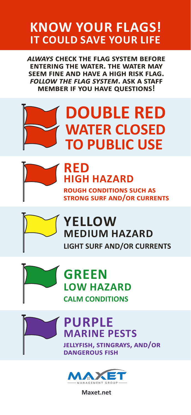### **KNOW YOUR FLAGS! IT COULD SAVE YOUR LIFE**

*always* **check the flag system before entering the water. the water may seem fine and have a high risk flag.**  *follow the flag system***. ask a staff member if you have questions!**

# **DOUBLE RED WATER CLOSED TO PUBLIC USE**



#### **RED HIGH HAZARD**

**rough conditions such as strong surf and/or currents**



#### **YELLOW MEDIUM HAZARD LIGHT SURF AND/OR CURRENTS**



#### **GREEN LOW HAZARD CALM CONDITIONS**

**PURPLE MARINE PESTS jellyfish, stingrays, and/or dangerous fish**



**Maxet.net**